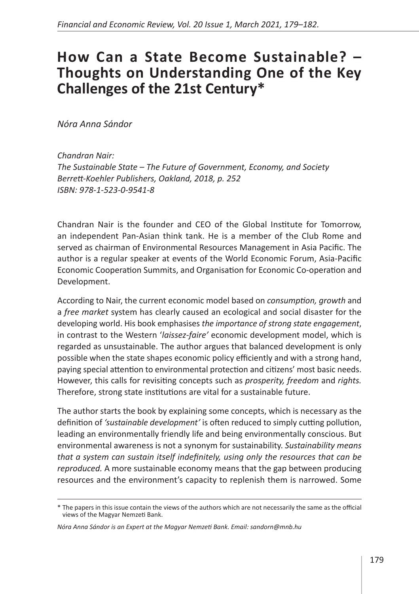## **How Can a State Become Sustainable? – Thoughts on Understanding One of the Key Challenges of the 21st Century\***

*Nóra Anna Sándor* 

*Chandran Nair: The Sustainable State – The Future of Government, Economy, and Society Berrett-Koehler Publishers, Oakland, 2018, p. 252 ISBN: 978-1-523-0-9541-8*

Chandran Nair is the founder and CEO of the Global Institute for Tomorrow, an independent Pan-Asian think tank. He is a member of the Club Rome and served as chairman of Environmental Resources Management in Asia Pacific. The author is a regular speaker at events of the World Economic Forum, Asia-Pacific Economic Cooperation Summits, and Organisation for Economic Co-operation and Development.

According to Nair, the current economic model based on *consumption, growth* and a *free market* system has clearly caused an ecological and social disaster for the developing world. His book emphasises *the importance of strong state engagement*, in contrast to the Western '*laissez-faire'* economic development model, which is regarded as unsustainable. The author argues that balanced development is only possible when the state shapes economic policy efficiently and with a strong hand, paying special attention to environmental protection and citizens' most basic needs. However, this calls for revisiting concepts such as *prosperity, freedom* and *rights.* Therefore, strong state institutions are vital for a sustainable future.

The author starts the book by explaining some concepts, which is necessary as the definition of *'sustainable development'* is often reduced to simply cutting pollution, leading an environmentally friendly life and being environmentally conscious. But environmental awareness is not a synonym for sustainability. *Sustainability means that a system can sustain itself indefinitely, using only the resources that can be reproduced.* A more sustainable economy means that the gap between producing resources and the environment's capacity to replenish them is narrowed. Some

<sup>\*</sup> The papers in this issue contain the views of the authors which are not necessarily the same as the official views of the Magyar Nemzeti Bank.

*Nóra Anna Sándor is an Expert at the Magyar Nemzeti Bank. Email: sandorn@mnb.hu*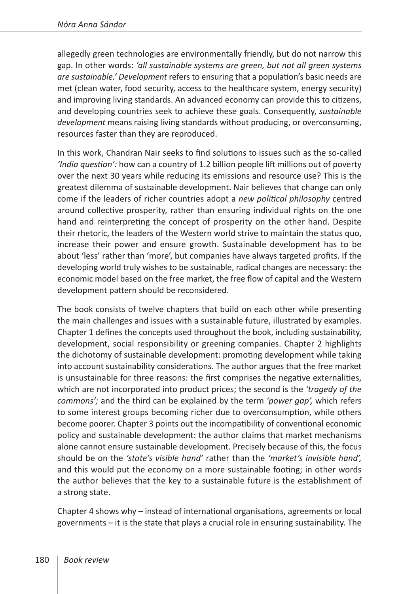allegedly green technologies are environmentally friendly, but do not narrow this gap. In other words: *'all sustainable systems are green, but not all green systems are sustainable.' Development* refers to ensuring that a population's basic needs are met (clean water, food security, access to the healthcare system, energy security) and improving living standards. An advanced economy can provide this to citizens, and developing countries seek to achieve these goals. Consequently, *sustainable development* means raising living standards without producing, or overconsuming, resources faster than they are reproduced.

In this work, Chandran Nair seeks to find solutions to issues such as the so-called *'India question':* how can a country of 1.2 billion people lift millions out of poverty over the next 30 years while reducing its emissions and resource use? This is the greatest dilemma of sustainable development. Nair believes that change can only come if the leaders of richer countries adopt a *new political philosophy* centred around collective prosperity, rather than ensuring individual rights on the one hand and reinterpreting the concept of prosperity on the other hand. Despite their rhetoric, the leaders of the Western world strive to maintain the status quo, increase their power and ensure growth. Sustainable development has to be about 'less' rather than 'more', but companies have always targeted profits. If the developing world truly wishes to be sustainable, radical changes are necessary: the economic model based on the free market, the free flow of capital and the Western development pattern should be reconsidered.

The book consists of twelve chapters that build on each other while presenting the main challenges and issues with a sustainable future, illustrated by examples. Chapter 1 defines the concepts used throughout the book, including sustainability, development, social responsibility or greening companies. Chapter 2 highlights the dichotomy of sustainable development: promoting development while taking into account sustainability considerations. The author argues that the free market is unsustainable for three reasons: the first comprises the negative externalities, which are not incorporated into product prices; the second is the *'tragedy of the commons';* and the third can be explained by the term *'power gap',* which refers to some interest groups becoming richer due to overconsumption, while others become poorer. Chapter 3 points out the incompatibility of conventional economic policy and sustainable development: the author claims that market mechanisms alone cannot ensure sustainable development. Precisely because of this, the focus should be on the *'state's visible hand'* rather than the *'market's invisible hand',* and this would put the economy on a more sustainable footing; in other words the author believes that the key to a sustainable future is the establishment of a strong state.

Chapter 4 shows why – instead of international organisations, agreements or local governments – it is the state that plays a crucial role in ensuring sustainability. The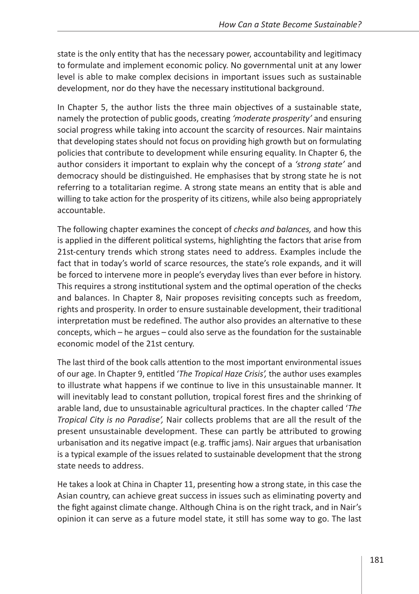state is the only entity that has the necessary power, accountability and legitimacy to formulate and implement economic policy. No governmental unit at any lower level is able to make complex decisions in important issues such as sustainable development, nor do they have the necessary institutional background.

In Chapter 5, the author lists the three main objectives of a sustainable state, namely the protection of public goods, creating *'moderate prosperity'* and ensuring social progress while taking into account the scarcity of resources. Nair maintains that developing states should not focus on providing high growth but on formulating policies that contribute to development while ensuring equality. In Chapter 6, the author considers it important to explain why the concept of a *'strong state'* and democracy should be distinguished. He emphasises that by strong state he is not referring to a totalitarian regime. A strong state means an entity that is able and willing to take action for the prosperity of its citizens, while also being appropriately accountable.

The following chapter examines the concept of *checks and balances,* and how this is applied in the different political systems, highlighting the factors that arise from 21st-century trends which strong states need to address. Examples include the fact that in today's world of scarce resources, the state's role expands, and it will be forced to intervene more in people's everyday lives than ever before in history. This requires a strong institutional system and the optimal operation of the checks and balances. In Chapter 8, Nair proposes revisiting concepts such as freedom, rights and prosperity. In order to ensure sustainable development, their traditional interpretation must be redefined. The author also provides an alternative to these concepts, which – he argues – could also serve as the foundation for the sustainable economic model of the 21st century.

The last third of the book calls attention to the most important environmental issues of our age. In Chapter 9, entitled '*The Tropical Haze Crisis',* the author uses examples to illustrate what happens if we continue to live in this unsustainable manner. It will inevitably lead to constant pollution, tropical forest fires and the shrinking of arable land, due to unsustainable agricultural practices. In the chapter called '*The Tropical City is no Paradise',* Nair collects problems that are all the result of the present unsustainable development. These can partly be attributed to growing urbanisation and its negative impact (e.g. traffic jams). Nair argues that urbanisation is a typical example of the issues related to sustainable development that the strong state needs to address.

He takes a look at China in Chapter 11, presenting how a strong state, in this case the Asian country, can achieve great success in issues such as eliminating poverty and the fight against climate change. Although China is on the right track, and in Nair's opinion it can serve as a future model state, it still has some way to go. The last